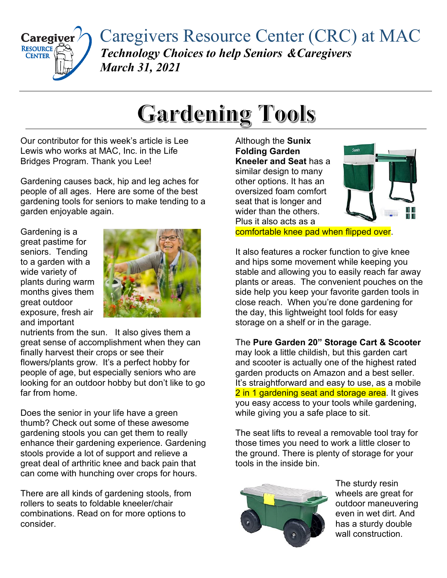

Caregivers Resource Center (CRC) at MAC *Technology Choices to help Seniors &Caregivers March 31, 2021*

## **Gardening Tools**

Our contributor for this week's article is Lee Lewis who works at MAC, Inc. in the Life Bridges Program. Thank you Lee!

Gardening causes back, hip and leg aches for people of all ages. Here are some of the best gardening tools for seniors to make tending to a garden enjoyable again.

Gardening is a great pastime for seniors. Tending to a garden with a wide variety of plants during warm months gives them great outdoor exposure, fresh air and important



nutrients from the sun. It also gives them a great sense of accomplishment when they can finally harvest their crops or see their flowers/plants grow. It's a perfect hobby for people of age, but especially seniors who are looking for an outdoor hobby but don't like to go far from home.

Does the senior in your life have a green thumb? Check out some of these awesome gardening stools you can get them to really enhance their gardening experience. Gardening stools provide a lot of support and relieve a great deal of arthritic knee and back pain that can come with hunching over crops for hours.

There are all kinds of gardening stools, from rollers to seats to foldable kneeler/chair combinations. Read on for more options to consider.

Although the **Sunix Folding Garden Kneeler and Seat** has a similar design to many other options. It has an oversized foam comfort seat that is longer and wider than the others. Plus it also acts as a



comfortable knee pad when flipped over.

It also features a rocker function to give knee and hips some movement while keeping you stable and allowing you to easily reach far away plants or areas. The convenient pouches on the side help you keep your favorite garden tools in close reach. When you're done gardening for the day, this lightweight tool folds for easy storage on a shelf or in the garage.

The **Pure Garden 20" Storage Cart & Scooter** may look a little childish, but this garden cart and scooter is actually one of the highest rated garden products on Amazon and a best seller. It's straightforward and easy to use, as a mobile 2 in 1 gardening seat and storage area. It gives you easy access to your tools while gardening, while giving you a safe place to sit.

The seat lifts to reveal a removable tool tray for those times you need to work a little closer to the ground. There is plenty of storage for your tools in the inside bin.



The sturdy resin wheels are great for outdoor maneuvering even in wet dirt. And has a sturdy double wall construction.